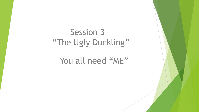## Session 3 "The Ugly Duckling"

## You all need "ME"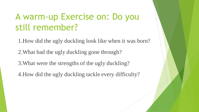# A warm-up Exercise on: Do you still remember?

1.How did the ugly duckling look like when it was born?

- 2.What had the ugly duckling gone through?
- 3.What were the strengths of the ugly duckling?
- 4.How did the ugly duckling tackle every difficulty?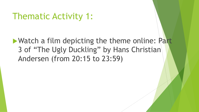## Thematic Activity 1:

### **Watch a film depicting the theme online: Part** 3 of "The Ugly Duckling" by Hans Christian Andersen (from 20:15 to 23:59)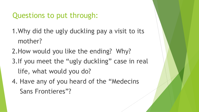#### Questions to put through:

1.Why did the ugly duckling pay a visit to its mother?

- 2.How would you like the ending? Why?
- 3.If you meet the "ugly duckling" case in real life, what would you do?
- 4. Have any of you heard of the "Medecins Sans Frontieres"?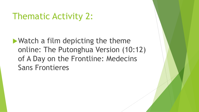## Thematic Activity 2:

**Natch a film depicting the theme** online: The Putonghua Version (10:12) of A Day on the Frontline: Medecins Sans Frontieres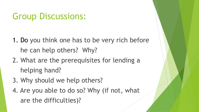## Group Discussions:

- 1. Do you think one has to be very rich before he can help others? Why?
- 2. What are the prerequisites for lending a helping hand?
- 3. Why should we help others?
- 4. Are you able to do so? Why (if not, what are the difficulties)?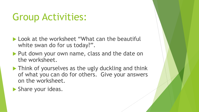# Group Activities:

- **Look at the worksheet "What can the beautiful** white swan do for us today?".
- Put down your own name, class and the date on the worksheet.
- **Think of yourselves as the ugly duckling and think** of what you can do for others. Give your answers on the worksheet.
- Share your ideas.